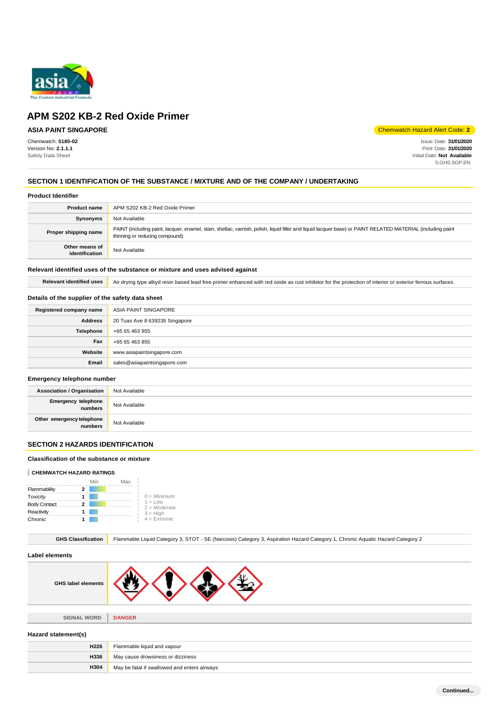

## **ASIA PAINT SINGAPORE**

Chemwatch: **5180-02** Version No: **2.1.1.1** Safety Data Sheet

Chemwatch Hazard Alert Code: **2**

Issue Date: **31/01/2020** Print Date: **31/01/2020** Initial Date: **Not Available** S.GHS.SGP.EN

## **SECTION 1 IDENTIFICATION OF THE SUBSTANCE / MIXTURE AND OF THE COMPANY / UNDERTAKING**

#### **Product Identifier**

| <b>Product name</b>              | APM S202 KB-2 Red Oxide Primer                                                                                                                                                                |  |
|----------------------------------|-----------------------------------------------------------------------------------------------------------------------------------------------------------------------------------------------|--|
| Synonyms                         | Not Available                                                                                                                                                                                 |  |
| Proper shipping name             | PAINT (including paint, lacquer, enamel, stain, shellac, varnish, polish, liquid filler and liquid lacquer base) or PAINT RELATED MATERIAL (including paint<br>thinning or reducing compound) |  |
| Other means of<br>identification | Not Available                                                                                                                                                                                 |  |

#### **Relevant identified uses of the substance or mixture and uses advised against**

Relevant identified uses **Air drying type alkyd resin based lead free primer enhanced with red oxide as rust inhibitor for the protection of interior or exterior ferrous surfaces.** 

## **Details of the supplier of the safety data sheet**

| Registered company name | ASIA PAINT SINGAPORE           |
|-------------------------|--------------------------------|
| <b>Address</b>          | 20 Tuas Ave 8 639235 Singapore |
| Telephone               | +65 65 463 955                 |
| Fax                     | +65 65 463 855                 |
| Website                 | www.asiapaintsingapore.com     |
| Email                   | sales@asiapaintsingapore.com   |

#### **Emergency telephone number**

| Association / Organisation             | Not Available |
|----------------------------------------|---------------|
| <b>Emergency telephone</b><br>numbers  | Not Available |
| Other emergency telephone<br>  numbers | Not Available |

## **SECTION 2 HAZARDS IDENTIFICATION**

### **Classification of the substance or mixture**

#### **CHEMWATCH HAZARD RATINGS**

|                     |   | Min | Max |                             |
|---------------------|---|-----|-----|-----------------------------|
| Flammability        | 2 |     |     |                             |
| Toxicity            |   |     |     | $0 =$ Minimum               |
| <b>Body Contact</b> | 2 |     |     | $1 = Low$<br>$2 =$ Moderate |
| Reactivity          |   |     |     | $3 = High$                  |
| Chronic             |   |     |     | $4$ = Extreme               |

**H304** May be fatal if swallowed and enters airways

| <b>GHS Classification</b> | Flammable Liquid Category 3, STOT - SE (Narcosis) Category 3, Aspiration Hazard Category 1, Chronic Aquatic Hazard Category 2 |  |  |
|---------------------------|-------------------------------------------------------------------------------------------------------------------------------|--|--|
| <b>Label elements</b>     |                                                                                                                               |  |  |
| <b>GHS label elements</b> |                                                                                                                               |  |  |
|                           |                                                                                                                               |  |  |
| <b>SIGNAL WORD</b>        | <b>DANGER</b>                                                                                                                 |  |  |
| Hazard statement(s)       |                                                                                                                               |  |  |
| <b>H226</b>               | Flammable liquid and vapour                                                                                                   |  |  |
| H336                      | May cause drowsiness or dizziness                                                                                             |  |  |

**Continued...**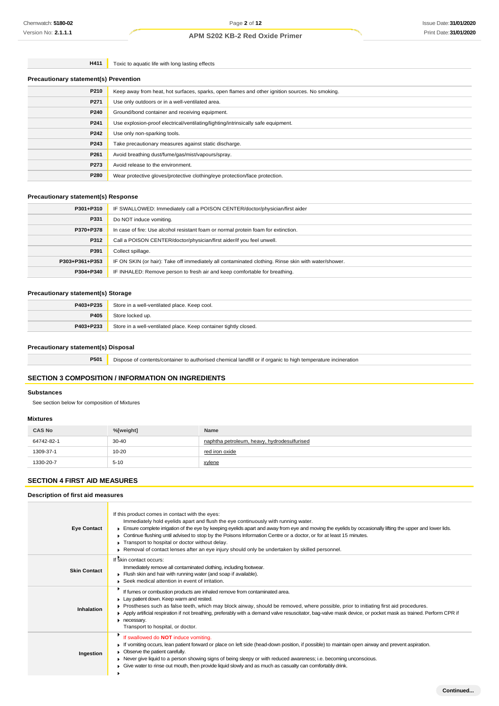**H411** Toxic to aquatic life with long lasting effects

| <b>Precautionary statement(s) Prevention</b> |                                                                                                |  |
|----------------------------------------------|------------------------------------------------------------------------------------------------|--|
| P210                                         | Keep away from heat, hot surfaces, sparks, open flames and other ignition sources. No smoking. |  |
| P271                                         | Use only outdoors or in a well-ventilated area.                                                |  |
| P240                                         | Ground/bond container and receiving equipment.                                                 |  |
| P241                                         | Use explosion-proof electrical/ventilating/lighting/intrinsically safe equipment.              |  |
| P242                                         | Use only non-sparking tools.                                                                   |  |
| P243                                         | Take precautionary measures against static discharge.                                          |  |
| P261                                         | Avoid breathing dust/fume/gas/mist/vapours/spray.                                              |  |
| P273                                         | Avoid release to the environment.                                                              |  |
| P280                                         | Wear protective gloves/protective clothing/eye protection/face protection.                     |  |

## **Precautionary statement(s) Response**

| P301+P310      | IF SWALLOWED: Immediately call a POISON CENTER/doctor/physician/first aider                         |  |
|----------------|-----------------------------------------------------------------------------------------------------|--|
| P331           | Do NOT induce vomiting.                                                                             |  |
| P370+P378      | In case of fire: Use alcohol resistant foam or normal protein foam for extinction.                  |  |
| P312           | Call a POISON CENTER/doctor/physician/first aider/if you feel unwell.                               |  |
| P391           | Collect spillage.                                                                                   |  |
| P303+P361+P353 | IF ON SKIN (or hair): Take off immediately all contaminated clothing. Rinse skin with water/shower. |  |
| P304+P340      | IF INHALED: Remove person to fresh air and keep comfortable for breathing.                          |  |

#### **Precautionary statement(s) Storage**

| P403+P235 | Store in a well-ventilated place. Keep cool.                     |  |
|-----------|------------------------------------------------------------------|--|
| P405      | Store locked up.                                                 |  |
| P403+P233 | Store in a well-ventilated place. Keep container tightly closed. |  |

#### **Precautionary statement(s) Disposal**

**P501** Dispose of contents/container to authorised chemical landfill or if organic to high temperature incineration

## **SECTION 3 COMPOSITION / INFORMATION ON INGREDIENTS**

#### **Substances**

See section below for composition of Mixtures

#### **Mixtures**

| <b>CAS No</b> | %[weight] | Name                                        |
|---------------|-----------|---------------------------------------------|
| 64742-82-1    | $30 - 40$ | naphtha petroleum, heavy, hydrodesulfurised |
| 1309-37-1     | $10 - 20$ | red iron oxide                              |
| 1330-20-7     | $5 - 10$  | xylene                                      |

## **SECTION 4 FIRST AID MEASURES**

| Description of first aid measures |                                                                                                                                                                                                                                                                                                                                                                                                                                                                                                                                                                                                    |  |  |  |
|-----------------------------------|----------------------------------------------------------------------------------------------------------------------------------------------------------------------------------------------------------------------------------------------------------------------------------------------------------------------------------------------------------------------------------------------------------------------------------------------------------------------------------------------------------------------------------------------------------------------------------------------------|--|--|--|
| <b>Eye Contact</b>                | If this product comes in contact with the eyes:<br>Immediately hold eyelids apart and flush the eye continuously with running water.<br>Ensure complete irrigation of the eye by keeping eyelids apart and away from eye and moving the eyelids by occasionally lifting the upper and lower lids.<br>▶ Continue flushing until advised to stop by the Poisons Information Centre or a doctor, or for at least 15 minutes.<br>Transport to hospital or doctor without delay.<br>$\blacktriangleright$ Removal of contact lenses after an eye injury should only be undertaken by skilled personnel. |  |  |  |
| <b>Skin Contact</b>               | If skin contact occurs:<br>Immediately remove all contaminated clothing, including footwear.<br>Flush skin and hair with running water (and soap if available).<br>▶ Seek medical attention in event of irritation.                                                                                                                                                                                                                                                                                                                                                                                |  |  |  |
| Inhalation                        | If fumes or combustion products are inhaled remove from contaminated area.<br>Lay patient down. Keep warm and rested.<br>▶ Prostheses such as false teeth, which may block airway, should be removed, where possible, prior to initiating first aid procedures.<br>▶ Apply artificial respiration if not breathing, preferably with a demand valve resuscitator, bag-valve mask device, or pocket mask as trained. Perform CPR if<br>necessary.<br>Transport to hospital, or doctor.                                                                                                               |  |  |  |
| Ingestion                         | If swallowed do NOT induce vomiting.<br>F If vomiting occurs, lean patient forward or place on left side (head-down position, if possible) to maintain open airway and prevent aspiration.<br>• Observe the patient carefully.<br>▶ Never give liquid to a person showing signs of being sleepy or with reduced awareness; i.e. becoming unconscious.<br>$\blacktriangleright$ Give water to rinse out mouth, then provide liquid slowly and as much as casualty can comfortably drink.                                                                                                            |  |  |  |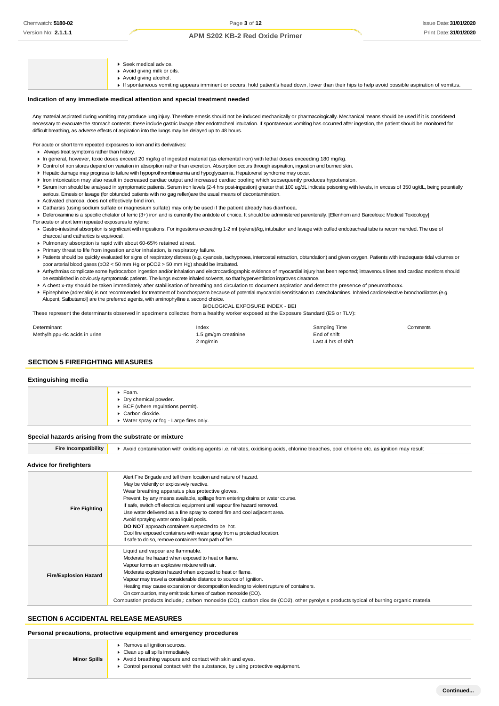- ▶ Seek medical advice.
- Avoid giving milk or oils.
- ▶ Avoid giving alcohol.
- If spontaneous vomiting appears imminent or occurs, hold patient's head down, lower than their hips to help avoid possible aspiration of vomitus.

#### **Indication of any immediate medical attention and special treatment needed**

Any material aspirated during vomiting may produce lung injury. Therefore emesis should not be induced mechanically or pharmacologically. Mechanical means should be used if it is considered necessary to evacuate the stomach contents; these include gastric lavage after endotracheal intubation. If spontaneous vomiting has occurred after ingestion, the patient should be monitored for difficult breathing, as adverse effects of aspiration into the lungs may be delayed up to 48 hours.

For acute or short term repeated exposures to iron and its derivatives:

- Always treat symptoms rather than history.
- In general, however, toxic doses exceed 20 mg/kg of ingested material (as elemental iron) with lethal doses exceeding 180 mg/kg.
- Control of iron stores depend on variation in absorption rather than excretion. Absorption occurs through aspiration, ingestion and burned skin.
- Hepatic damage may progress to failure with hypoprothrombinaemia and hypoglycaemia. Hepatorenal syndrome may occur.
- Iron intoxication may also result in decreased cardiac output and increased cardiac pooling which subsequently produces hypotension.
- > Serum iron should be analysed in symptomatic patients. Serum iron levels (2-4 hrs post-ingestion) greater that 100 ug/dL indicate poisoning with levels, in excess of 350 ug/dL, being potentially serious. Emesis or lavage (for obtunded patients with no gag reflex)are the usual means of decontamination.
- Activated charcoal does not effectively bind iron.
- Catharsis (using sodium sulfate or magnesium sulfate) may only be used if the patient already has diarrhoea.
- ▶ Deferoxamine is a specific chelator of ferric (3+) iron and is currently the antidote of choice. It should be administered parenterally. [Ellenhorn and Barceloux: Medical Toxicology] For acute or short term repeated exposures to xylene:
- Gastro-intestinal absorption is significant with ingestions. For ingestions exceeding 1-2 ml (xylene)/kg, intubation and lavage with cuffed endotracheal tube is recommended. The use of charcoal and cathartics is equivocal.
- Pulmonary absorption is rapid with about 60-65% retained at rest.
- Primary threat to life from ingestion and/or inhalation, is respiratory failure.
- Patients should be quickly evaluated for signs of respiratory distress (e.g. cyanosis, tachypnoea, intercostal retraction, obtundation) and given oxygen. Patients with inadequate tidal volumes or poor arterial blood gases (pO2 < 50 mm Hg or pCO2 > 50 mm Hg) should be intubated.
- Arrhythmias complicate some hydrocarbon ingestion and/or inhalation and electrocardiographic evidence of myocardial injury has been reported; intravenous lines and cardiac monitors should be established in obviously symptomatic patients. The lungs excrete inhaled solvents, so that hyperventilation improves clearance.
- A chest x-ray should be taken immediately after stabilisation of breathing and circulation to document aspiration and detect the presence of pneumothorax.
- ► Epinephrine (adrenalin) is not recommended for treatment of bronchospasm because of potential myocardial sensitisation to catecholamines. Inhaled cardioselective bronchodilators (e.g. Alupent, Salbutamol) are the preferred agents, with aminophylline a second choice.
	- BIOLOGICAL EXPOSURE INDEX BEI

These represent the determinants observed in specimens collected from a healthy worker exposed at the Exposure Standard (ES or TLV):

| Determinant                    | Index                | Sampling Time       | Comments |
|--------------------------------|----------------------|---------------------|----------|
| Methylhippu-ric acids in urine | 1.5 gm/gm creatinine | End of shift        |          |
|                                | 2 mg/min             | Last 4 hrs of shift |          |

#### **SECTION 5 FIREFIGHTING MEASURES**

#### **Extinguishing media**

| $\blacktriangleright$ Foam.<br>Dry chemical powder.<br>$\triangleright$ BCF (where regulations permit).<br>Carbon dioxide. |
|----------------------------------------------------------------------------------------------------------------------------|
| ▶ Water spray or fog - Large fires only.                                                                                   |
|                                                                                                                            |

#### **Special hazards arising from the substrate or mixture**

Fire Incompatibility **A** Avoid contamination with oxidising agents i.e. nitrates, oxidising acids, chlorine bleaches, pool chlorine etc. as ignition may result **Advice for firefighters** Alert Fire Brigade and tell them location and nature of hazard.

|                              | May be violently or explosively reactive.                                                                                             |
|------------------------------|---------------------------------------------------------------------------------------------------------------------------------------|
|                              | Wear breathing apparatus plus protective gloves.                                                                                      |
|                              | Prevent, by any means available, spillage from entering drains or water course.                                                       |
| <b>Fire Fighting</b>         | If safe, switch off electrical equipment until vapour fire hazard removed.                                                            |
|                              | Use water delivered as a fine spray to control fire and cool adjacent area.                                                           |
|                              | Avoid spraying water onto liquid pools.                                                                                               |
|                              | DO NOT approach containers suspected to be hot.                                                                                       |
|                              | Cool fire exposed containers with water spray from a protected location.                                                              |
|                              | If safe to do so, remove containers from path of fire.                                                                                |
|                              | Liquid and vapour are flammable.                                                                                                      |
| <b>Fire/Explosion Hazard</b> | Moderate fire hazard when exposed to heat or flame.                                                                                   |
|                              | Vapour forms an explosive mixture with air.                                                                                           |
|                              | Moderate explosion hazard when exposed to heat or flame.                                                                              |
|                              | Vapour may travel a considerable distance to source of ignition.                                                                      |
|                              | Heating may cause expansion or decomposition leading to violent rupture of containers.                                                |
|                              | On combustion, may emit toxic fumes of carbon monoxide (CO).                                                                          |
|                              | Combustion products include, carbon monoxide (CO), carbon dioxide (CO2), other pyrolysis products typical of burning organic material |
|                              |                                                                                                                                       |

#### **SECTION 6 ACCIDENTAL RELEASE MEASURES**

**Minor Spills**

#### **Personal precautions, protective equipment and emergency procedures**

- **Remove all ignition sources.**
- Clean up all spills immediately.
	- Avoid breathing vapours and contact with skin and eyes.
- Control personal contact with the substance, by using protective equipment.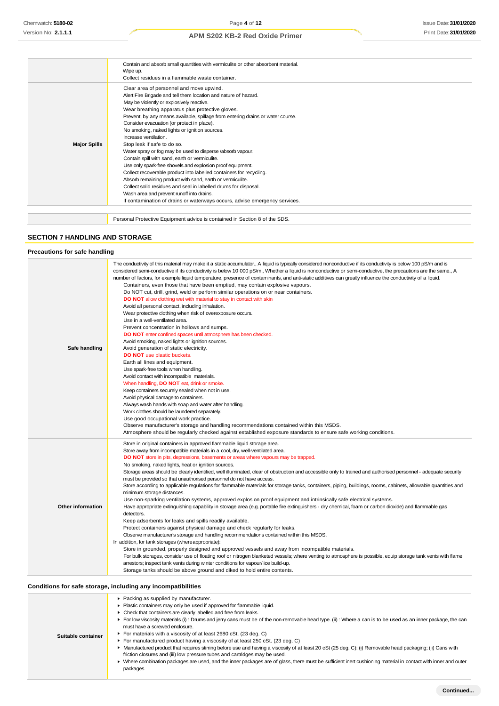|                     | Contain and absorb small quantities with vermiculite or other absorbent material. |
|---------------------|-----------------------------------------------------------------------------------|
|                     | Wipe up.                                                                          |
|                     | Collect residues in a flammable waste container.                                  |
|                     | Clear area of personnel and move upwind.                                          |
|                     | Alert Fire Brigade and tell them location and nature of hazard.                   |
|                     | May be violently or explosively reactive.                                         |
|                     | Wear breathing apparatus plus protective gloves.                                  |
|                     | Prevent, by any means available, spillage from entering drains or water course.   |
|                     | Consider evacuation (or protect in place).                                        |
|                     | No smoking, naked lights or ignition sources.                                     |
|                     | Increase ventilation.                                                             |
| <b>Major Spills</b> | Stop leak if safe to do so.                                                       |
|                     | Water spray or fog may be used to disperse /absorb vapour.                        |
|                     | Contain spill with sand, earth or vermiculite.                                    |
|                     | Use only spark-free shovels and explosion proof equipment.                        |
|                     | Collect recoverable product into labelled containers for recycling.               |
|                     | Absorb remaining product with sand, earth or vermiculite.                         |
|                     | Collect solid residues and seal in labelled drums for disposal.                   |
|                     | Wash area and prevent runoff into drains.                                         |
|                     | If contamination of drains or waterways occurs, advise emergency services.        |
|                     |                                                                                   |
|                     | Personal Protective Equipment advice is contained in Section 8 of the SDS.        |

## **SECTION 7 HANDLING AND STORAGE**

| <b>Precautions for safe handling</b> |                                                                                                                                                                                                                                                                                                                                                                                                                                                                                                                                                                                                                                                                                                                                                                                                                                                                                                                                                                                                                                                                                                                                                                                                                                                                                                                                                                                                                                                                                                                                                                                                                                                                                                                                                                                             |
|--------------------------------------|---------------------------------------------------------------------------------------------------------------------------------------------------------------------------------------------------------------------------------------------------------------------------------------------------------------------------------------------------------------------------------------------------------------------------------------------------------------------------------------------------------------------------------------------------------------------------------------------------------------------------------------------------------------------------------------------------------------------------------------------------------------------------------------------------------------------------------------------------------------------------------------------------------------------------------------------------------------------------------------------------------------------------------------------------------------------------------------------------------------------------------------------------------------------------------------------------------------------------------------------------------------------------------------------------------------------------------------------------------------------------------------------------------------------------------------------------------------------------------------------------------------------------------------------------------------------------------------------------------------------------------------------------------------------------------------------------------------------------------------------------------------------------------------------|
| Safe handling                        | The conductivity of this material may make it a static accumulator., A liquid is typically considered nonconductive if its conductivity is below 100 pS/m and is<br>considered semi-conductive if its conductivity is below 10 000 pS/m., Whether a liquid is nonconductive or semi-conductive, the precautions are the same., A<br>number of factors, for example liquid temperature, presence of contaminants, and anti-static additives can greatly influence the conductivity of a liquid.<br>Containers, even those that have been emptied, may contain explosive vapours.<br>Do NOT cut, drill, grind, weld or perform similar operations on or near containers.<br>DO NOT allow clothing wet with material to stay in contact with skin<br>Avoid all personal contact, including inhalation.<br>Wear protective clothing when risk of overexposure occurs.<br>Use in a well-ventilated area.<br>Prevent concentration in hollows and sumps.<br>DO NOT enter confined spaces until atmosphere has been checked.<br>Avoid smoking, naked lights or ignition sources.<br>Avoid generation of static electricity.<br><b>DO NOT</b> use plastic buckets.<br>Earth all lines and equipment.<br>Use spark-free tools when handling.<br>Avoid contact with incompatible materials.<br>When handling, DO NOT eat, drink or smoke.<br>Keep containers securely sealed when not in use.<br>Avoid physical damage to containers.<br>Always wash hands with soap and water after handling.<br>Work clothes should be laundered separately.<br>Use good occupational work practice.<br>Observe manufacturer's storage and handling recommendations contained within this MSDS.<br>Atmosphere should be regularly checked against established exposure standards to ensure safe working conditions. |
| <b>Other information</b>             | Store in original containers in approved flammable liquid storage area.<br>Store away from incompatible materials in a cool, dry, well-ventilated area.<br><b>DO NOT</b> store in pits, depressions, basements or areas where vapours may be trapped.<br>No smoking, naked lights, heat or ignition sources.<br>Storage areas should be clearly identified, well illuminated, clear of obstruction and accessible only to trained and authorised personnel - adequate security<br>must be provided so that unauthorised personnel do not have access.<br>Store according to applicable regulations for flammable materials for storage tanks, containers, piping, buildings, rooms, cabinets, allowable quantities and<br>minimum storage distances.<br>Use non-sparking ventilation systems, approved explosion proof equipment and intrinsically safe electrical systems.<br>Have appropriate extinguishing capability in storage area (e.g. portable fire extinguishers - dry chemical, foam or carbon dioxide) and flammable gas<br>detectors.<br>Keep adsorbents for leaks and spills readily available.<br>Protect containers against physical damage and check regularly for leaks.<br>Observe manufacturer's storage and handling recommendations contained within this MSDS.<br>In addition, for tank storages (where appropriate):<br>Store in grounded, properly designed and approved vessels and away from incompatible materials.<br>For bulk storages, consider use of floating roof or nitrogen blanketed vessels; where venting to atmosphere is possible, equip storage tank vents with flame<br>arrestors; inspect tank vents during winter conditions for vapour/ ice build-up.<br>Storage tanks should be above ground and diked to hold entire contents.              |

## **Conditions for safe storage, including any incompatibilities**

| conditions for safe storage, including any incompatibilities |                                                                                                                                                                                                                                                                                                                                                                                                                                                                                                                                                                                                                                                                                                                                                                                                                                                                                                                                                                      |  |
|--------------------------------------------------------------|----------------------------------------------------------------------------------------------------------------------------------------------------------------------------------------------------------------------------------------------------------------------------------------------------------------------------------------------------------------------------------------------------------------------------------------------------------------------------------------------------------------------------------------------------------------------------------------------------------------------------------------------------------------------------------------------------------------------------------------------------------------------------------------------------------------------------------------------------------------------------------------------------------------------------------------------------------------------|--|
| Suitable container                                           | ▶ Packing as supplied by manufacturer.<br>Plastic containers may only be used if approved for flammable liquid.<br>Check that containers are clearly labelled and free from leaks.<br>For low viscosity materials (i): Drums and jerry cans must be of the non-removable head type. (ii): Where a can is to be used as an inner package, the can<br>must have a screwed enclosure.<br>▶ For materials with a viscosity of at least 2680 cSt. (23 deg. C)<br>For manufactured product having a viscosity of at least $250$ cSt. (23 deg. C)<br>Manufactured product that requires stirring before use and having a viscosity of at least 20 cSt (25 deg. C): (i) Removable head packaging; (ii) Cans with<br>friction closures and (iii) low pressure tubes and cartridges may be used.<br>• Where combination packages are used, and the inner packages are of glass, there must be sufficient inert cushioning material in contact with inner and outer<br>packages |  |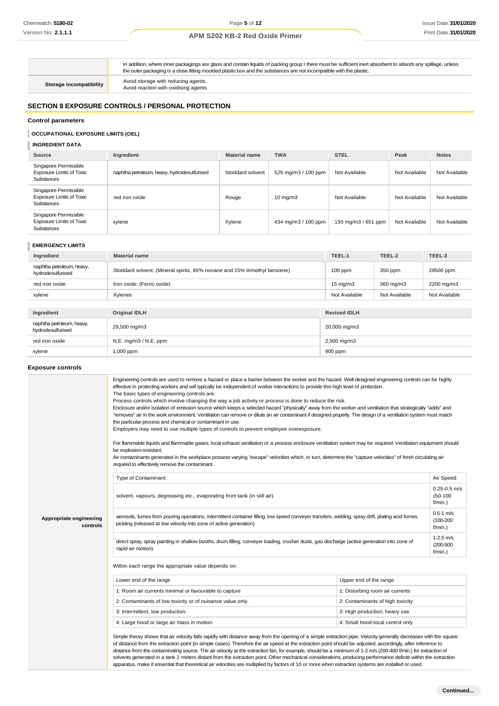In addition, where inner packagings are glass and contain liquids of packing group I there must be sufficient inert absorbent to absorb any spillage, unless the outer packaging is a close fitting moulded plastic box and the substances are not incompatible with the plastic. **Storage incompatibility Avoid storage with reducing agents.**<br>Avoid reaction with oxidising agents **SECTION 8 EXPOSURE CONTROLS / PERSONAL PROTECTION**

#### **Control parameters**

#### **OCCUPATIONAL EXPOSURE LIMITS (OEL)**

**INGREDIENT DATA**

| <b>Source</b>                                                                 | Ingredient                                  | <b>Material name</b> | <b>TWA</b>          | <b>STEL</b>         | Peak          | <b>Notes</b>  |
|-------------------------------------------------------------------------------|---------------------------------------------|----------------------|---------------------|---------------------|---------------|---------------|
| Singapore Permissible<br><b>Exposure Limits of Toxic</b><br><b>Substances</b> | naphtha petroleum, heavy, hydrodesulfurised | Stoddard solvent     | 525 mg/m3 / 100 ppm | Not Available       | Not Available | Not Available |
| Singapore Permissible<br><b>Exposure Limits of Toxic</b><br><b>Substances</b> | red iron oxide                              | Rouge                | $10 \text{ mg/m}$   | Not Available       | Not Available | Not Available |
| Singapore Permissible<br><b>Exposure Limits of Toxic</b><br><b>Substances</b> | xylene                                      | Xylene               | 434 mg/m3 / 100 ppm | 150 mg/m3 / 651 ppm | Not Available | Not Available |

#### **EMERGENCY LIMITS**

| Ingredient                                     | <b>Material name</b>                                                      | TEEL-1              | TEEL-2        | TEEL-3        |
|------------------------------------------------|---------------------------------------------------------------------------|---------------------|---------------|---------------|
| naphtha petroleum, heavy,<br>hydrodesulfurised | Stoddard solvent; (Mineral spirits, 85% nonane and 15% trimethyl benzene) |                     | 350 ppm       | 29500 ppm     |
| red iron oxide                                 | Iron oxide; (Ferric oxide)                                                |                     | 360 mg/m3     | 2200 mg/m3    |
| xylene                                         | Xylenes                                                                   |                     | Not Available | Not Available |
|                                                |                                                                           |                     |               |               |
| Ingredient                                     | <b>Original IDLH</b>                                                      | <b>Revised IDLH</b> |               |               |
| naphtha petroleum, heavy,<br>hydrodesulfurised | 29,500 mg/m3                                                              | 20,000 mg/m3        |               |               |
| red iron oxide                                 | N.E. mg/m3 / N.E. ppm                                                     | $2,500$ mg/m $3$    |               |               |
| 900 ppm<br>1,000 ppm<br>xylene                 |                                                                           |                     |               |               |

#### **Exposure controls**

|                                     | Engineering controls are used to remove a hazard or place a barrier between the worker and the hazard. Well-designed engineering controls can be highly<br>effective in protecting workers and will typically be independent of worker interactions to provide this high level of protection.<br>The basic types of engineering controls are:<br>Process controls which involve changing the way a job activity or process is done to reduce the risk.<br>Enclosure and/or isolation of emission source which keeps a selected hazard "physically" away from the worker and ventilation that strategically "adds" and<br>"removes" air in the work environment. Ventilation can remove or dilute an air contaminant if designed properly. The design of a ventilation system must match<br>the particular process and chemical or contaminant in use.<br>Employers may need to use multiple types of controls to prevent employee overexposure.<br>For flammable liquids and flammable gases, local exhaust ventilation or a process enclosure ventilation system may be required. Ventilation equipment should<br>be explosion-resistant.<br>Air contaminants generated in the workplace possess varying "escape" velocities which, in turn, determine the "capture velocities" of fresh circulating air<br>required to effectively remove the contaminant. |                                  |                                              |
|-------------------------------------|--------------------------------------------------------------------------------------------------------------------------------------------------------------------------------------------------------------------------------------------------------------------------------------------------------------------------------------------------------------------------------------------------------------------------------------------------------------------------------------------------------------------------------------------------------------------------------------------------------------------------------------------------------------------------------------------------------------------------------------------------------------------------------------------------------------------------------------------------------------------------------------------------------------------------------------------------------------------------------------------------------------------------------------------------------------------------------------------------------------------------------------------------------------------------------------------------------------------------------------------------------------------------------------------------------------------------------------------------------------|----------------------------------|----------------------------------------------|
|                                     | Type of Contaminant:                                                                                                                                                                                                                                                                                                                                                                                                                                                                                                                                                                                                                                                                                                                                                                                                                                                                                                                                                                                                                                                                                                                                                                                                                                                                                                                                         |                                  | Air Speed:                                   |
|                                     | solvent, vapours, degreasing etc., evaporating from tank (in still air).                                                                                                                                                                                                                                                                                                                                                                                                                                                                                                                                                                                                                                                                                                                                                                                                                                                                                                                                                                                                                                                                                                                                                                                                                                                                                     |                                  | $0.25 - 0.5$ m/s<br>$(50 - 100)$<br>f/min.)  |
| Appropriate engineering<br>controls | aerosols, fumes from pouring operations, intermittent container filling, low speed conveyer transfers, welding, spray drift, plating acid fumes,<br>pickling (released at low velocity into zone of active generation)                                                                                                                                                                                                                                                                                                                                                                                                                                                                                                                                                                                                                                                                                                                                                                                                                                                                                                                                                                                                                                                                                                                                       |                                  | $0.5 - 1$ m/s<br>$(100 - 200)$<br>$f/min.$ ) |
|                                     | direct spray, spray painting in shallow booths, drum filling, conveyer loading, crusher dusts, gas discharge (active generation into zone of<br>rapid air motion)                                                                                                                                                                                                                                                                                                                                                                                                                                                                                                                                                                                                                                                                                                                                                                                                                                                                                                                                                                                                                                                                                                                                                                                            |                                  | $1-2.5$ m/s<br>$(200 - 500)$<br>$f/min.$ )   |
|                                     | Within each range the appropriate value depends on:                                                                                                                                                                                                                                                                                                                                                                                                                                                                                                                                                                                                                                                                                                                                                                                                                                                                                                                                                                                                                                                                                                                                                                                                                                                                                                          |                                  |                                              |
|                                     | Lower end of the range                                                                                                                                                                                                                                                                                                                                                                                                                                                                                                                                                                                                                                                                                                                                                                                                                                                                                                                                                                                                                                                                                                                                                                                                                                                                                                                                       | Upper end of the range           |                                              |
|                                     | 1: Room air currents minimal or favourable to capture                                                                                                                                                                                                                                                                                                                                                                                                                                                                                                                                                                                                                                                                                                                                                                                                                                                                                                                                                                                                                                                                                                                                                                                                                                                                                                        | 1: Disturbing room air currents  |                                              |
|                                     | 2: Contaminants of low toxicity or of nuisance value only.                                                                                                                                                                                                                                                                                                                                                                                                                                                                                                                                                                                                                                                                                                                                                                                                                                                                                                                                                                                                                                                                                                                                                                                                                                                                                                   | 2: Contaminants of high toxicity |                                              |
|                                     | 3: Intermittent, low production.                                                                                                                                                                                                                                                                                                                                                                                                                                                                                                                                                                                                                                                                                                                                                                                                                                                                                                                                                                                                                                                                                                                                                                                                                                                                                                                             | 3: High production, heavy use    |                                              |
|                                     | 4: Large hood or large air mass in motion                                                                                                                                                                                                                                                                                                                                                                                                                                                                                                                                                                                                                                                                                                                                                                                                                                                                                                                                                                                                                                                                                                                                                                                                                                                                                                                    | 4: Small hood-local control only |                                              |
|                                     | Simple theory shows that air velocity falls rapidly with distance away from the opening of a simple extraction pipe. Velocity generally decreases with the square<br>of distance from the extraction point (in simple cases). Therefore the air speed at the extraction point should be adjusted, accordingly, after reference to<br>distance from the contaminating source. The air velocity at the extraction fan, for example, should be a minimum of 1-2 m/s (200-400 f/min.) for extraction of<br>solvents generated in a tank 2 meters distant from the extraction point. Other mechanical considerations, producing performance deficits within the extraction<br>apparatus, make it essential that theoretical air velocities are multiplied by factors of 10 or more when extraction systems are installed or used.                                                                                                                                                                                                                                                                                                                                                                                                                                                                                                                                 |                                  |                                              |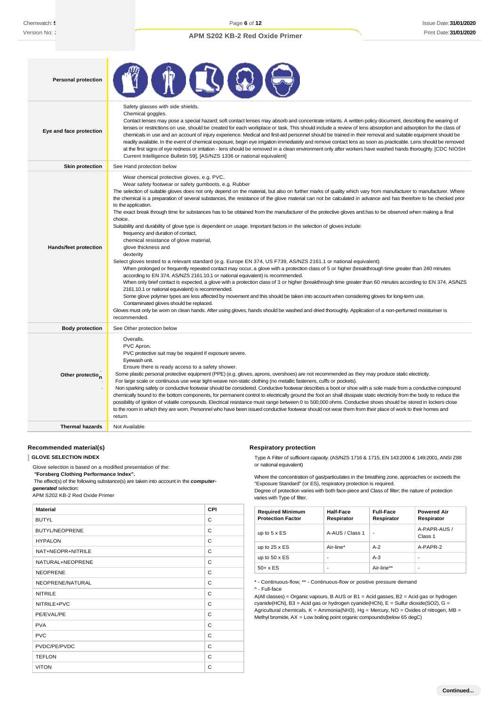| <b>Personal protection</b>   |                                                                                                                                                                                                                                                                                                                                                                                                                                                                                                                                                                                                                                                                                                                                                                                                                                                                                                                                                                                                                                                                                                                                                                                                                                                                                                                                                                                                                                                                                                                                                                                                                                                                                                                                                                                                                                    |  |  |  |
|------------------------------|------------------------------------------------------------------------------------------------------------------------------------------------------------------------------------------------------------------------------------------------------------------------------------------------------------------------------------------------------------------------------------------------------------------------------------------------------------------------------------------------------------------------------------------------------------------------------------------------------------------------------------------------------------------------------------------------------------------------------------------------------------------------------------------------------------------------------------------------------------------------------------------------------------------------------------------------------------------------------------------------------------------------------------------------------------------------------------------------------------------------------------------------------------------------------------------------------------------------------------------------------------------------------------------------------------------------------------------------------------------------------------------------------------------------------------------------------------------------------------------------------------------------------------------------------------------------------------------------------------------------------------------------------------------------------------------------------------------------------------------------------------------------------------------------------------------------------------|--|--|--|
| Eye and face protection      | Safety glasses with side shields.<br>Chemical goggles.<br>Contact lenses may pose a special hazard; soft contact lenses may absorb and concentrate irritants. A written policy document, describing the wearing of<br>lenses or restrictions on use, should be created for each workplace or task. This should include a review of lens absorption and adsorption for the class of<br>chemicals in use and an account of injury experience. Medical and first-aid personnel should be trained in their removal and suitable equipment should be<br>readily available. In the event of chemical exposure, begin eye irrigation immediately and remove contact lens as soon as practicable. Lens should be removed<br>at the first signs of eye redness or irritation - lens should be removed in a clean environment only after workers have washed hands thoroughly. [CDC NIOSH<br>Current Intelligence Bulletin 59], [AS/NZS 1336 or national equivalent]                                                                                                                                                                                                                                                                                                                                                                                                                                                                                                                                                                                                                                                                                                                                                                                                                                                                         |  |  |  |
| <b>Skin protection</b>       | See Hand protection below                                                                                                                                                                                                                                                                                                                                                                                                                                                                                                                                                                                                                                                                                                                                                                                                                                                                                                                                                                                                                                                                                                                                                                                                                                                                                                                                                                                                                                                                                                                                                                                                                                                                                                                                                                                                          |  |  |  |
| <b>Hands/feet protection</b> | Wear chemical protective gloves, e.g. PVC.<br>Wear safety footwear or safety gumboots, e.g. Rubber<br>The selection of suitable gloves does not only depend on the material, but also on further marks of quality which vary from manufacturer to manufacturer. Where<br>the chemical is a preparation of several substances, the resistance of the glove material can not be calculated in advance and has therefore to be checked prior<br>to the application.<br>The exact break through time for substances has to be obtained from the manufacturer of the protective gloves and has to be observed when making a final<br>choice.<br>Suitability and durability of glove type is dependent on usage. Important factors in the selection of gloves include:<br>frequency and duration of contact,<br>chemical resistance of glove material,<br>glove thickness and<br>dexterity<br>Select gloves tested to a relevant standard (e.g. Europe EN 374, US F739, AS/NZS 2161.1 or national equivalent).<br>When prolonged or frequently repeated contact may occur, a glove with a protection class of 5 or higher (breakthrough time greater than 240 minutes<br>according to EN 374, AS/NZS 2161.10.1 or national equivalent) is recommended.<br>When only brief contact is expected, a glove with a protection class of 3 or higher (breakthrough time greater than 60 minutes according to EN 374, AS/NZS<br>2161.10.1 or national equivalent) is recommended.<br>Some glove polymer types are less affected by movement and this should be taken into account when considering gloves for long-term use.<br>Contaminated gloves should be replaced.<br>Gloves must only be wom on clean hands. After using gloves, hands should be washed and dried thoroughly. Application of a non-perfumed moisturiser is<br>recommended. |  |  |  |
| <b>Body protection</b>       | See Other protection below                                                                                                                                                                                                                                                                                                                                                                                                                                                                                                                                                                                                                                                                                                                                                                                                                                                                                                                                                                                                                                                                                                                                                                                                                                                                                                                                                                                                                                                                                                                                                                                                                                                                                                                                                                                                         |  |  |  |
| Other protectio <sub>n</sub> | Overalls.<br>PVC Apron.<br>PVC protective suit may be required if exposure severe.<br>Eyewash unit.<br>Ensure there is ready access to a safety shower.<br>Some plastic personal protective equipment (PPE) (e.g. gloves, aprons, overshoes) are not recommended as they may produce static electricity.<br>For large scale or continuous use wear tight-weave non-static clothing (no metallic fasteners, cuffs or pockets).<br>Non sparking safety or conductive footwear should be considered. Conductive footwear describes a boot or shoe with a sole made from a conductive compound<br>chemically bound to the bottom components, for permanent control to electrically ground the foot an shall dissipate static electricity from the body to reduce the<br>possibility of ignition of volatile compounds. Electrical resistance must range between 0 to 500,000 ohms. Conductive shoes should be stored in lockers close<br>to the room in which they are worn. Personnel who have been issued conductive footwear should not wear them from their place of work to their homes and<br>return.                                                                                                                                                                                                                                                                                                                                                                                                                                                                                                                                                                                                                                                                                                                            |  |  |  |
| <b>Thermal hazards</b>       | Not Available                                                                                                                                                                                                                                                                                                                                                                                                                                                                                                                                                                                                                                                                                                                                                                                                                                                                                                                                                                                                                                                                                                                                                                                                                                                                                                                                                                                                                                                                                                                                                                                                                                                                                                                                                                                                                      |  |  |  |

#### **Recommended material(s)**

**GLOVE SELECTION INDEX**

Glove selection is based on a modified presentation of the:

*"***Forsberg Clothing Performance Index".**

The effect(s) of the following substance(s) are taken into account in the *computer-*

*generated* selection:

APM S202 KB-2 Red Oxide Primer

| <b>Material</b>       | CPI |
|-----------------------|-----|
| <b>BUTYL</b>          | C   |
| <b>BUTYL/NEOPRENE</b> | C   |
| <b>HYPALON</b>        | C   |
| NAT+NEOPR+NITRILE     | C   |
| NATURAL+NEOPRENE      | C   |
| <b>NEOPRENE</b>       | C   |
| NEOPRENE/NATURAL      | C   |
| <b>NITRILE</b>        | C   |
| NITRILE+PVC           | C   |
| PE/EVAL/PE            | C   |
| <b>PVA</b>            | C   |
| <b>PVC</b>            | C   |
| PVDC/PE/PVDC          | C   |
| <b>TEFLON</b>         | C   |
| <b>VITON</b>          | C   |

#### **Respiratory protection**

Type A Filter of sufficient capacity. (AS/NZS 1716 & 1715, EN 143:2000 & 149:2001, ANSI Z88 or national equivalent)

Where the concentration of gas/particulates in the breathing zone, approaches or exceeds the "Exposure Standard" (or ES), respiratory protection is required.

Degree of protection varies with both face-piece and Class of filter; the nature of protection varies with Type of filter.

| <b>Required Minimum</b><br><b>Protection Factor</b> | Half-Face<br>Respirator | <b>Full-Face</b><br>Respirator | <b>Powered Air</b><br>Respirator |
|-----------------------------------------------------|-------------------------|--------------------------------|----------------------------------|
| up to $5 \times ES$                                 | A-AUS / Class 1         | ٠                              | A-PAPR-AUS /<br>Class 1          |
| up to $25 \times ES$                                | Air-line*               | $A-2$                          | A-PAPR-2                         |
| up to $50 \times ES$                                |                         | $A-3$                          | ۰                                |
| $50+ x ES$                                          |                         | Air-line**                     | ٠                                |

\* - Continuous-flow; \*\* - Continuous-flow or positive pressure demand

^ - Full-face

A(All classes) = Organic vapours, B AUS or B1 = Acid gasses, B2 = Acid gas or hydrogen cyanide(HCN), B3 = Acid gas or hydrogen cyanide(HCN), E = Sulfur dioxide(SO2), G = Agricultural chemicals, K = Ammonia(NH3), Hg = Mercury, NO = Oxides of nitrogen, MB = Methyl bromide, AX = Low boiling point organic compounds(below 65 degC)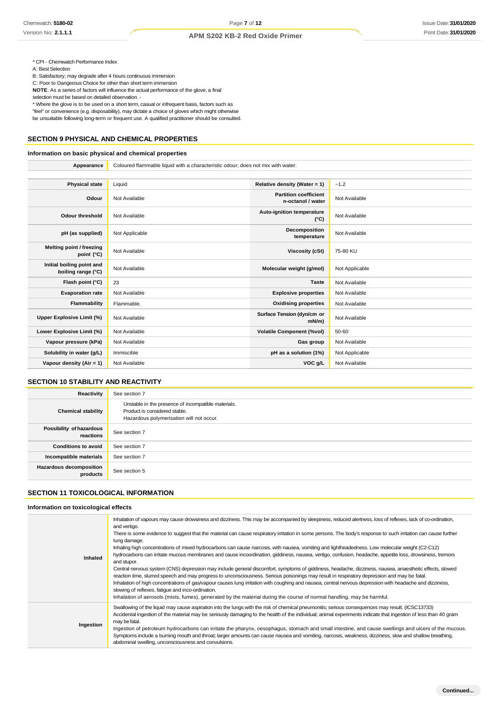\* CPI - Chemwatch Performance Index

A: Best Selection

B: Satisfactory; may degrade after 4 hours continuous immersion

C: Poor to Dangerous Choice for other than short term immersion **NOTE**: As a series of factors will influence the actual performance of the glove, a final

selection must be based on detailed observation. -

\* Where the glove is to be used on a short term, casual or infrequent basis, factors such as "feel" or convenience (e.g. disposability), may dictate a choice of gloves which might otherwise be unsuitable following long-term or frequent use. A qualified practitioner should be consulted.

## **SECTION 9 PHYSICAL AND CHEMICAL PROPERTIES**

## **Information on basic physical and chemical properties**

| Appearance                                      | Coloured flammable liquid with a characteristic odour; does not mix with water. |                                                   |                |
|-------------------------------------------------|---------------------------------------------------------------------------------|---------------------------------------------------|----------------|
|                                                 |                                                                                 |                                                   |                |
| <b>Physical state</b>                           | Liquid                                                                          | Relative density (Water = 1)                      | $-1.2$         |
| Odour                                           | Not Available                                                                   | <b>Partition coefficient</b><br>n-octanol / water | Not Available  |
| <b>Odour threshold</b>                          | Not Available                                                                   | Auto-ignition temperature<br>$(^{\circ}C)$        | Not Available  |
| pH (as supplied)                                | Not Applicable                                                                  | Decomposition<br>temperature                      | Not Available  |
| Melting point / freezing<br>point (°C)          | Not Available                                                                   | <b>Viscosity (cSt)</b>                            | 75-80 KU       |
| Initial boiling point and<br>boiling range (°C) | Not Available                                                                   | Molecular weight (g/mol)                          | Not Applicable |
| Flash point (°C)                                | 23                                                                              | <b>Taste</b>                                      | Not Available  |
| <b>Evaporation rate</b>                         | Not Available                                                                   | <b>Explosive properties</b>                       | Not Available  |
| Flammability                                    | Flammable.                                                                      | <b>Oxidising properties</b>                       | Not Available  |
| Upper Explosive Limit (%)                       | Not Available                                                                   | Surface Tension (dyn/cm or<br>$mN/m$ )            | Not Available  |
| Lower Explosive Limit (%)                       | Not Available                                                                   | <b>Volatile Component (%vol)</b>                  | 50-60          |
| Vapour pressure (kPa)                           | Not Available                                                                   | Gas group                                         | Not Available  |
| Solubility in water (g/L)                       | Immiscible                                                                      | pH as a solution (1%)                             | Not Applicable |
| Vapour density (Air = 1)                        | Not Available                                                                   | VOC g/L                                           | Not Available  |

## **SECTION 10 STABILITY AND REACTIVITY**

| Reactivity                            | See section 7                                                                                                                    |
|---------------------------------------|----------------------------------------------------------------------------------------------------------------------------------|
| <b>Chemical stability</b>             | Unstable in the presence of incompatible materials.<br>Product is considered stable.<br>Hazardous polymerisation will not occur. |
| Possibility of hazardous<br>reactions | See section 7                                                                                                                    |
| <b>Conditions to avoid</b>            | See section 7                                                                                                                    |
| Incompatible materials                | See section 7                                                                                                                    |
| Hazardous decomposition<br>products   | See section 5                                                                                                                    |

## **SECTION 11 TOXICOLOGICAL INFORMATION**

#### **Information on toxicological effects**

|           | Inhalation of vapours may cause drowsiness and dizziness. This may be accompanied by sleepiness, reduced alertness, loss of reflexes, lack of co-ordination,<br>and vertigo.                                  |
|-----------|---------------------------------------------------------------------------------------------------------------------------------------------------------------------------------------------------------------|
|           | There is some evidence to suggest that the material can cause respiratory irritation in some persons. The body's response to such irritation can cause further<br>lung damage.                                |
|           | Inhaling high concentrations of mixed hydrocarbons can cause narcosis, with nausea, vomiting and lightheadedness. Low molecular weight (C2-C12)                                                               |
| Inhaled   | hydrocarbons can irritate mucous membranes and cause incoordination, giddiness, nausea, vertigo, confusion, headache, appetite loss, drowsiness, tremors<br>and stupor.                                       |
|           | Central nervous system (CNS) depression may include general discomfort, symptoms of giddiness, headache, dizziness, nausea, anaesthetic effects, slowed                                                       |
|           | reaction time, slurred speech and may progress to unconsciousness. Serious poisonings may result in respiratory depression and may be fatal.                                                                  |
|           | Inhalation of high concentrations of gas/vapour causes lung irritation with coughing and nausea, central nervous depression with headache and dizziness,<br>slowing of reflexes, fatigue and inco-ordination. |
|           | Inhalation of aerosols (mists, fumes), generated by the material during the course of normal handling, may be harmful.                                                                                        |
|           | Swallowing of the liquid may cause aspiration into the lungs with the risk of chemical pneumonitis; serious consequences may result. (ICSC13733)                                                              |
| Ingestion | Accidental ingestion of the material may be seriously damaging to the health of the individual; animal experiments indicate that ingestion of less than 40 gram<br>may be fatal.                              |
|           | Ingestion of petroleum hydrocarbons can irritate the pharynx, oesophagus, stomach and small intestine, and cause swellings and ulcers of the mucous.                                                          |
|           | Symptoms include a burning mouth and throat; larger amounts can cause nausea and vomiting, narcosis, weakness, dizziness, slow and shallow breathing,<br>abdominal swelling, unconsciousness and convulsions. |
|           |                                                                                                                                                                                                               |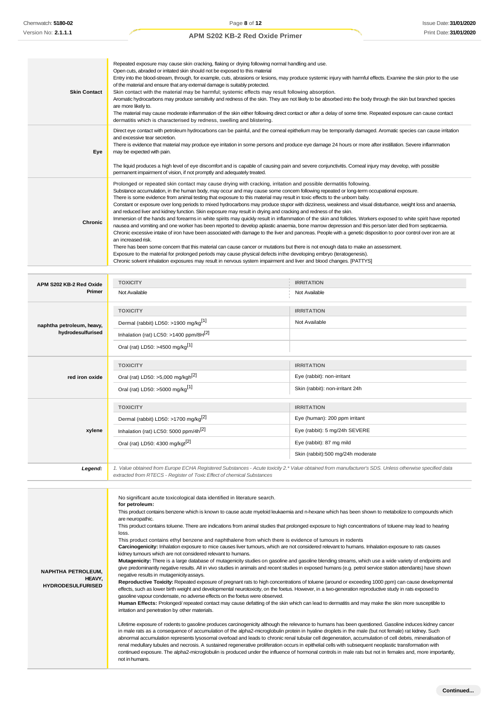| <b>Skin Contact</b>               | Repeated exposure may cause skin cracking, flaking or drying following normal handling and use.<br>Open cuts, abraded or irritated skin should not be exposed to this material<br>Entry into the blood-stream, through, for example, cuts, abrasions or lesions, may produce systemic injury with harmful effects. Examine the skin prior to the use<br>of the material and ensure that any external damage is suitably protected.<br>Skin contact with the material may be harmful; systemic effects may result following absorption.<br>Aromatic hydrocarbons may produce sensitivity and redness of the skin. They are not likely to be absorbed into the body through the skin but branched species<br>are more likely to.<br>The material may cause moderate inflammation of the skin either following direct contact or after a delay of some time. Repeated exposure can cause contact<br>dermatitis which is characterised by redness, swelling and blistering.                                                                                                                                                                                                                                                                                                                                                                                                                                                                                                                                                                                                                                                                                  |                                    |  |
|-----------------------------------|----------------------------------------------------------------------------------------------------------------------------------------------------------------------------------------------------------------------------------------------------------------------------------------------------------------------------------------------------------------------------------------------------------------------------------------------------------------------------------------------------------------------------------------------------------------------------------------------------------------------------------------------------------------------------------------------------------------------------------------------------------------------------------------------------------------------------------------------------------------------------------------------------------------------------------------------------------------------------------------------------------------------------------------------------------------------------------------------------------------------------------------------------------------------------------------------------------------------------------------------------------------------------------------------------------------------------------------------------------------------------------------------------------------------------------------------------------------------------------------------------------------------------------------------------------------------------------------------------------------------------------------------------------|------------------------------------|--|
| Eye                               | Direct eye contact with petroleum hydrocarbons can be painful, and the corneal epithelium may be temporarily damaged. Aromatic species can cause irritation<br>and excessive tear secretion.<br>There is evidence that material may produce eye irritation in some persons and produce eye damage 24 hours or more after instillation. Severe inflammation<br>may be expected with pain.<br>The liquid produces a high level of eye discomfort and is capable of causing pain and severe conjunctivitis. Comeal injury may develop, with possible                                                                                                                                                                                                                                                                                                                                                                                                                                                                                                                                                                                                                                                                                                                                                                                                                                                                                                                                                                                                                                                                                                        |                                    |  |
| Chronic                           | permanent impairment of vision, if not promptly and adequately treated.<br>Prolonged or repeated skin contact may cause drying with cracking, irritation and possible dermatitis following.<br>Substance accumulation, in the human body, may occur and may cause some concern following repeated or long-term occupational exposure.<br>There is some evidence from animal testing that exposure to this material may result in toxic effects to the unborn baby.<br>Constant or exposure over long periods to mixed hydrocarbons may produce stupor with dizziness, weakness and visual disturbance, weight loss and anaemia,<br>and reduced liver and kidney function. Skin exposure may result in drying and cracking and redness of the skin.<br>Immersion of the hands and forearms in white spirits may quickly result in inflammation of the skin and follicles. Workers exposed to white spirit have reported<br>nausea and vomiting and one worker has been reported to develop aplastic anaemia, bone marrow depression and this person later died from septicaemia.<br>Chronic excessive intake of iron have been associated with damage to the liver and pancreas. People with a genetic disposition to poor control over iron are at<br>an increased risk.<br>There has been some concem that this material can cause cancer or mutations but there is not enough data to make an assessment.<br>Exposure to the material for prolonged periods may cause physical defects in the developing embryo (teratogenesis).<br>Chronic solvent inhalation exposures may result in nervous system impairment and liver and blood changes. [PATTYS] |                                    |  |
|                                   |                                                                                                                                                                                                                                                                                                                                                                                                                                                                                                                                                                                                                                                                                                                                                                                                                                                                                                                                                                                                                                                                                                                                                                                                                                                                                                                                                                                                                                                                                                                                                                                                                                                          |                                    |  |
| APM S202 KB-2 Red Oxide<br>Primer | <b>TOXICITY</b><br>Not Available                                                                                                                                                                                                                                                                                                                                                                                                                                                                                                                                                                                                                                                                                                                                                                                                                                                                                                                                                                                                                                                                                                                                                                                                                                                                                                                                                                                                                                                                                                                                                                                                                         | <b>IRRITATION</b><br>Not Available |  |
|                                   |                                                                                                                                                                                                                                                                                                                                                                                                                                                                                                                                                                                                                                                                                                                                                                                                                                                                                                                                                                                                                                                                                                                                                                                                                                                                                                                                                                                                                                                                                                                                                                                                                                                          |                                    |  |
|                                   | <b>TOXICITY</b>                                                                                                                                                                                                                                                                                                                                                                                                                                                                                                                                                                                                                                                                                                                                                                                                                                                                                                                                                                                                                                                                                                                                                                                                                                                                                                                                                                                                                                                                                                                                                                                                                                          | <b>IRRITATION</b>                  |  |
| naphtha petroleum, heavy,         | Dermal (rabbit) LD50: >1900 mg/kg <sup>[1]</sup>                                                                                                                                                                                                                                                                                                                                                                                                                                                                                                                                                                                                                                                                                                                                                                                                                                                                                                                                                                                                                                                                                                                                                                                                                                                                                                                                                                                                                                                                                                                                                                                                         | Not Available                      |  |
| hydrodesulfurised                 | Inhalation (rat) LC50: >1400 ppm/8H[2]                                                                                                                                                                                                                                                                                                                                                                                                                                                                                                                                                                                                                                                                                                                                                                                                                                                                                                                                                                                                                                                                                                                                                                                                                                                                                                                                                                                                                                                                                                                                                                                                                   |                                    |  |
|                                   | Oral (rat) LD50: >4500 mg/kg <sup>[1]</sup>                                                                                                                                                                                                                                                                                                                                                                                                                                                                                                                                                                                                                                                                                                                                                                                                                                                                                                                                                                                                                                                                                                                                                                                                                                                                                                                                                                                                                                                                                                                                                                                                              |                                    |  |
|                                   | <b>TOXICITY</b>                                                                                                                                                                                                                                                                                                                                                                                                                                                                                                                                                                                                                                                                                                                                                                                                                                                                                                                                                                                                                                                                                                                                                                                                                                                                                                                                                                                                                                                                                                                                                                                                                                          | <b>IRRITATION</b>                  |  |
| red iron oxide                    | Oral (rat) LD50: >5,000 mg/kgh <sup>[2]</sup>                                                                                                                                                                                                                                                                                                                                                                                                                                                                                                                                                                                                                                                                                                                                                                                                                                                                                                                                                                                                                                                                                                                                                                                                                                                                                                                                                                                                                                                                                                                                                                                                            | Eye (rabbit): non-irritant         |  |
|                                   | Oral (rat) LD50: >5000 mg/kg <sup>[1]</sup>                                                                                                                                                                                                                                                                                                                                                                                                                                                                                                                                                                                                                                                                                                                                                                                                                                                                                                                                                                                                                                                                                                                                                                                                                                                                                                                                                                                                                                                                                                                                                                                                              | Skin (rabbit): non-irritant 24h    |  |
|                                   |                                                                                                                                                                                                                                                                                                                                                                                                                                                                                                                                                                                                                                                                                                                                                                                                                                                                                                                                                                                                                                                                                                                                                                                                                                                                                                                                                                                                                                                                                                                                                                                                                                                          |                                    |  |
|                                   | <b>TOXICITY</b>                                                                                                                                                                                                                                                                                                                                                                                                                                                                                                                                                                                                                                                                                                                                                                                                                                                                                                                                                                                                                                                                                                                                                                                                                                                                                                                                                                                                                                                                                                                                                                                                                                          | <b>IRRITATION</b>                  |  |
|                                   | Dermal (rabbit) LD50: >1700 mg/kg <sup>[2]</sup>                                                                                                                                                                                                                                                                                                                                                                                                                                                                                                                                                                                                                                                                                                                                                                                                                                                                                                                                                                                                                                                                                                                                                                                                                                                                                                                                                                                                                                                                                                                                                                                                         | Eye (human): 200 ppm irritant      |  |
| xylene                            | Inhalation (rat) LC50: 5000 ppm/4h <sup>[2]</sup>                                                                                                                                                                                                                                                                                                                                                                                                                                                                                                                                                                                                                                                                                                                                                                                                                                                                                                                                                                                                                                                                                                                                                                                                                                                                                                                                                                                                                                                                                                                                                                                                        | Eye (rabbit): 5 mg/24h SEVERE      |  |
|                                   | Oral (rat) LD50: 4300 mg/kgt <sup>[2]</sup>                                                                                                                                                                                                                                                                                                                                                                                                                                                                                                                                                                                                                                                                                                                                                                                                                                                                                                                                                                                                                                                                                                                                                                                                                                                                                                                                                                                                                                                                                                                                                                                                              | Eye (rabbit): 87 mg mild           |  |
|                                   |                                                                                                                                                                                                                                                                                                                                                                                                                                                                                                                                                                                                                                                                                                                                                                                                                                                                                                                                                                                                                                                                                                                                                                                                                                                                                                                                                                                                                                                                                                                                                                                                                                                          | Skin (rabbit):500 mg/24h moderate  |  |
| Legend:                           | 1. Value obtained from Europe ECHA Registered Substances - Acute toxicity 2.* Value obtained from manufacturer's SDS. Unless otherwise specified data<br>extracted from RTECS - Register of Toxic Effect of chemical Substances                                                                                                                                                                                                                                                                                                                                                                                                                                                                                                                                                                                                                                                                                                                                                                                                                                                                                                                                                                                                                                                                                                                                                                                                                                                                                                                                                                                                                          |                                    |  |
|                                   | No significant acute toxicological data identified in literature search.<br>for petroleum:<br>This product contains benzene which is known to cause acute myeloid leukaemia and n-hexane which has been shown to metabolize to compounds which<br>are neuropathic.<br>This product contains toluene. There are indications from animal studies that prolonged exposure to high concentrations of toluene may lead to hearing<br>loss.<br>This product contains ethyl benzene and naphthalene from which there is evidence of tumours in rodents                                                                                                                                                                                                                                                                                                                                                                                                                                                                                                                                                                                                                                                                                                                                                                                                                                                                                                                                                                                                                                                                                                          |                                    |  |

**Carcinogenicity:** Inhalation exposure to mice causes liver tumours, which are not considered relevant to humans. Inhalation exposure to rats causes kidney tumours which are not considered relevant to humans.

**Mutagenicity:** There is a large database of mutagenicity studies on gasoline and gasoline blending streams, which use a wide variety of endpoints and give predominantly negative results. All in vivo studies in animals and recent studies in exposed humans (e.g. petrol service station attendants) have shown

**NAPHTHA PETROLEUM, HEAVY, HYDRODESULFURISED**

negative results in mutagenicityassays. **Reproductive Toxicity:** Repeated exposure of pregnant rats to high concentrations of toluene (around or exceeding 1000 ppm) can cause developmental effects, such as lower birth weight and developmental neurotoxicity, on the foetus. However, in a two-generation reproductive study in rats exposed to gasoline vapour condensate, no adverse effects on the foetus were observed. **Human Effects:** Prolonged/ repeated contact may cause defatting of the skin which can lead to dermatitis and may make the skin more susceptible to irritation and penetration by other materials. Lifetime exposure of rodents to gasoline produces carcinogenicity although the relevance to humans has been questioned. Gasoline induces kidney cancer

in male rats as a consequence of accumulation of the alpha2-microglobulin protein in hyaline droplets in the male (but not female) rat kidney. Such abnormal accumulation represents lysosomal overload and leads to chronic renal tubular cell degeneration, accumulation of cell debris, mineralisation of renal medullary tubules and necrosis. A sustained regenerative proliferation occurs in epithelial cells with subsequent neoplastic transformation with continued exposure. The alpha2-microglobulin is produced under the influence of hormonal controls in male rats but not in females and, more importantly, not inhumans.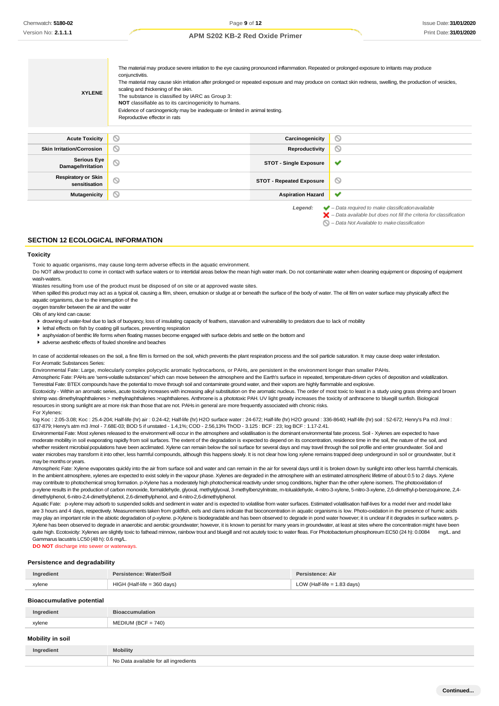| <b>XYLENE</b>                                                                                                                                                                 | The material may produce severe irritation to the eye causing pronounced inflammation. Repeated or prolonged exposure to irritants may produce<br>conjunctivitis.<br>The material may cause skin irritation after prolonged or repeated exposure and may produce on contact skin redness, swelling, the production of vesicles,<br>scaling and thickening of the skin.<br>The substance is classified by IARC as Group 3:<br><b>NOT</b> classifiable as to its carcinogenicity to humans.<br>Evidence of carcinogenicity may be inadequate or limited in animal testing.<br>Reproductive effector in rats |                                 |         |  |
|-------------------------------------------------------------------------------------------------------------------------------------------------------------------------------|-----------------------------------------------------------------------------------------------------------------------------------------------------------------------------------------------------------------------------------------------------------------------------------------------------------------------------------------------------------------------------------------------------------------------------------------------------------------------------------------------------------------------------------------------------------------------------------------------------------|---------------------------------|---------|--|
| <b>Acute Toxicity</b>                                                                                                                                                         | Q                                                                                                                                                                                                                                                                                                                                                                                                                                                                                                                                                                                                         | Carcinogenicity                 | $\circ$ |  |
| <b>Skin Irritation/Corrosion</b>                                                                                                                                              | $\circ$                                                                                                                                                                                                                                                                                                                                                                                                                                                                                                                                                                                                   | Reproductivity                  | O       |  |
| <b>Serious Eye</b><br>Damage/Irritation                                                                                                                                       | Q                                                                                                                                                                                                                                                                                                                                                                                                                                                                                                                                                                                                         | <b>STOT - Single Exposure</b>   | ✔       |  |
| <b>Respiratory or Skin</b><br>sensitisation                                                                                                                                   | ⊚                                                                                                                                                                                                                                                                                                                                                                                                                                                                                                                                                                                                         | <b>STOT - Repeated Exposure</b> | O       |  |
| <b>Mutagenicity</b>                                                                                                                                                           | $\circ$                                                                                                                                                                                                                                                                                                                                                                                                                                                                                                                                                                                                   | <b>Aspiration Hazard</b>        | ✔       |  |
| $\blacktriangleright$ - Data required to make classification available<br>Legend:<br>$\blacktriangleright$ – Data available but does not fill the criteria for classification |                                                                                                                                                                                                                                                                                                                                                                                                                                                                                                                                                                                                           |                                 |         |  |

#### *– Data Not Available to makeclassification*

#### **SECTION 12 ECOLOGICAL INFORMATION**

#### **Toxicity**

Toxic to aquatic organisms, may cause long-term adverse effects in the aquatic environment.

Do NOT allow product to come in contact with surface waters or to intertidal areas below the mean high water mark. Do not contaminate water when cleaning equipment or disposing of equipment wash-waters.

Wastes resulting from use of the product must be disposed of on site or at approved waste sites.

When spilled this product may act as a typical oil, causing a film, sheen, emulsion or sludge at or beneath the surface of the body of water. The oil film on water surface may physically affect the aquatic organisms, due to the interruption of the

oxygen transfer between the air and the water

Oils of any kind can cause:

For Xylenes:

- drowning of water-fowl due to lack of buoyancy, loss of insulating capacity of feathers, starvation and vulnerability to predators due to lack of mobility
- lethal effects on fish by coating gill surfaces, preventing respiration

asphyxiation of benthic life forms when floating masses become engaged with surface debris and settle on the bottom and

adverse aesthetic effects of fouled shoreline and beaches

In case of accidental releases on the soil, a fine film is formed on the soil, which prevents the plant respiration process and the soil particle saturation. It may cause deep water infestation. For Aromatic Substances Series:

Environmental Fate: Large, molecularly complex polycyclic aromatic hydrocarbons, or PAHs, are persistent in the environment longer than smaller PAHs.

Atmospheric Fate: PAHs are 'semi-volatile substances" which can move between the atmosphere and the Earth's surface in repeated, temperature-driven cycles of deposition and volatilization. Terrestrial Fate: BTEX compounds have the potential to move through soil and contaminate ground water, and their vapors are highly flammable and explosive.

Ecotoxicity - Within an aromatic series, acute toxicity increases with increasing alkyl substitution on the aromatic nucleus. The order of most toxic to least in a study using grass shrimp and brown shrimp was dimethylnaphthalenes > methylnaphthalenes >naphthalenes. Anthrcene is a phototoxic PAH. UV light greatly increases the toxicity of anthracene to bluegill sunfish. Biological resources in strong sunlight are at more risk than those that are not. PAHs in general are more frequently associated with chronic risks.

log Koc : 2.05-3.08; Koc : 25.4-204; Half-life (hr) air : 0.24-42; Half-life (hr) H2O surface water : 24-672; Half-life (hr) H2O ground : 336-8640; Half-life (hr) soil : 52-672; Henry's Pa m3 /mol : 637-879; Henry's atm m3 /mol - 7.68E-03; BOD 5 if unstated - 1.4,1%; COD - 2.56,13% ThOD - 3.125 : BCF : 23; log BCF : 1.17-2.41.

Environmental Fate: Most xylenes released to the environment will occur in the atmosphere and volatilisation is the dominant environmental fate process. Soil - Xylenes are expected to have moderate mobility in soil evaporating rapidly from soil surfaces. The extent of the degradation is expected to depend on its concentration, residence time in the soil, the nature of the soil, and whether resident microbial populations have been acclimated. Xylene can remain below the soil surface for several days and may travel through the soil profile and enter groundwater. Soil and water microbes may transform it into other, less harmful compounds, although this happens slowly. It is not clear how long xylene remains trapped deep underground in soil or groundwater, but it may be months or years.

Atmospheric Fate: Xylene evaporates quickly into the air from surface soil and water and can remain in the air for several days until it is broken down by sunlight into other less harmful chemicals. In the ambient atmosphere, xylenes are expected to exist solely in the vapour phase. Xylenes are degraded in the atmosphere with an estimated atmospheric lifetime of about 0.5 to 2 days. Xylene may contribute to photochemical smog formation. p-Xylene has a moderately high photochemical reactivity under smog conditions, higher than the other xylene isomers. The photooxidation of p-xylene results in the production of carbon monoxide, formaldehyde, glyoxal, methylglyoxal, 3-methylbenzylnitrate, m-tolualdehyde, 4-nitro-3-xylene, 5-nitro-3-xylene, 2,6-dimethyl-p-benzoquinone, 2,4 dimethylphenol, 6-nitro-2,4-dimethylphenol, 2,6-dimethylphenol, and 4-nitro-2,6-dimethylphenol.

Aquatic Fate: p-xylene may adsorb to suspended solids and sediment in water and is expected to volatilise from water surfaces. Estimated volatilisation half-lives for a model river and model lake are 3 hours and 4 days, respectively. Measurements taken from goldfish, eels and clams indicate that bioconcentration in aquatic organisms is low. Photo-oxidation in the presence of humic acids may play an important role in the abiotic degradation of p-xylene. p-Xylene is biodegradable and has been observed to degrade in pond water however; it is unclear if it degrades in surface waters. p-Xylene has been observed to degrade in anaerobic and aerobic groundwater; however, it is known to persist for many years in groundwater, at least at sites where the concentration might have been quite high. Ecotoxicity: Xylenes are slightly toxic to fathead minnow, rainbow trout and bluegill and not acutely toxic to water fleas. For Photobacterium phosphoreum EC50 (24 h): 0.0084 mg/L. and Gammarus lacustris LC50 (48 h): 0.6 mg/L.

**DO NOT** discharge into sewer or waterways.

#### **Persistence and degradability**

| Ingredient | Persistence: Water/Soil     | Persistence: Air              |
|------------|-----------------------------|-------------------------------|
| xylene     | HIGH (Half-life = 360 days) | LOW (Half-life $= 1.83$ days) |
|            |                             |                               |

#### **Bioaccumulative potential**

| Ingredient | <b>Bioaccumulation</b> |
|------------|------------------------|
| xylene     | $MEDIUM (BCF = 740)$   |
|            |                        |

## **Mobility in soil**

| Ingredient | <b>Mobility</b>                       |
|------------|---------------------------------------|
|            | No Data available for all ingredients |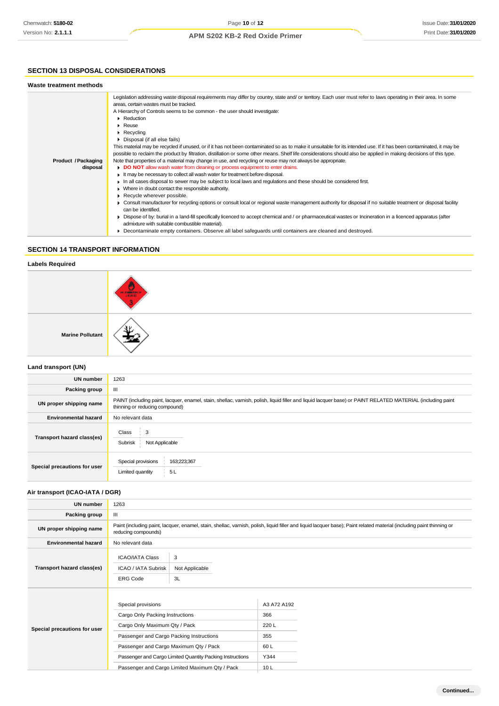## **SECTION 13 DISPOSAL CONSIDERATIONS**

| Waste treatment methods         |                                                                                                                                                                                                                                                                                                                                                                                                                                                                                                                                                                                                                                                                                                                                                                                                                                                                                                                                                                                                                                                                                                                                                                                                                                                                                                                                                                                                                                                                                                                                                                                                        |
|---------------------------------|--------------------------------------------------------------------------------------------------------------------------------------------------------------------------------------------------------------------------------------------------------------------------------------------------------------------------------------------------------------------------------------------------------------------------------------------------------------------------------------------------------------------------------------------------------------------------------------------------------------------------------------------------------------------------------------------------------------------------------------------------------------------------------------------------------------------------------------------------------------------------------------------------------------------------------------------------------------------------------------------------------------------------------------------------------------------------------------------------------------------------------------------------------------------------------------------------------------------------------------------------------------------------------------------------------------------------------------------------------------------------------------------------------------------------------------------------------------------------------------------------------------------------------------------------------------------------------------------------------|
| Product / Packaging<br>disposal | Legislation addressing waste disposal requirements may differ by country, state and/ or territory. Each user must refer to laws operating in their area. In some<br>areas, certain wastes must be tracked.<br>A Hierarchy of Controls seems to be common - the user should investigate:<br>• Reduction<br>$\blacktriangleright$ Reuse<br>$\triangleright$ Recycling<br>• Disposal (if all else fails)<br>This material may be recycled if unused, or if it has not been contaminated so as to make it unsuitable for its intended use. If it has been contaminated, it may be<br>possible to reclaim the product by filtration, distillation or some other means. Shelf life considerations should also be applied in making decisions of this type.<br>Note that properties of a material may change in use, and recycling or reuse may not always be appropriate.<br>DO NOT allow wash water from cleaning or process equipment to enter drains.<br>It may be necessary to collect all wash water for treatment before disposal.<br>In all cases disposal to sewer may be subject to local laws and regulations and these should be considered first.<br>• Where in doubt contact the responsible authority.<br>Recycle wherever possible.<br>► Consult manufacturer for recycling options or consult local or regional waste management authority for disposal if no suitable treatment or disposal facility<br>can be identified.<br>▶ Dispose of by: burial in a land-fill specifically licenced to accept chemical and / or pharmaceutical wastes or Incineration in a licenced apparatus (after |
|                                 | admixture with suitable combustible material).<br>Decontaminate empty containers. Observe all label safequards until containers are cleaned and destroyed.                                                                                                                                                                                                                                                                                                                                                                                                                                                                                                                                                                                                                                                                                                                                                                                                                                                                                                                                                                                                                                                                                                                                                                                                                                                                                                                                                                                                                                             |
|                                 |                                                                                                                                                                                                                                                                                                                                                                                                                                                                                                                                                                                                                                                                                                                                                                                                                                                                                                                                                                                                                                                                                                                                                                                                                                                                                                                                                                                                                                                                                                                                                                                                        |

## **SECTION 14 TRANSPORT INFORMATION**

## **Labels Required**

|                         | <b>HARRISON</b> |
|-------------------------|-----------------|
| <b>Marine Pollutant</b> |                 |

## **Land transport (UN)**

| <b>UN number</b>             | 1263                                                                                                                                                                                          |  |  |  |
|------------------------------|-----------------------------------------------------------------------------------------------------------------------------------------------------------------------------------------------|--|--|--|
| Packing group                | Ш                                                                                                                                                                                             |  |  |  |
|                              |                                                                                                                                                                                               |  |  |  |
| UN proper shipping name      | PAINT (including paint, lacquer, enamel, stain, shellac, varnish, polish, liquid filler and liquid lacquer base) or PAINT RELATED MATERIAL (including paint<br>thinning or reducing compound) |  |  |  |
| <b>Environmental hazard</b>  | No relevant data                                                                                                                                                                              |  |  |  |
| Transport hazard class(es)   | 3<br>Class<br>Subrisk<br>Not Applicable                                                                                                                                                       |  |  |  |
| Special precautions for user | Special provisions<br>163;223;367<br>Limited quantity<br>5L                                                                                                                                   |  |  |  |

## **Air transport (ICAO-IATA / DGR)**

| <b>UN number</b>             | 1263                                                                                                                                                                                         |                                                                                                             |                                                                     |  |
|------------------------------|----------------------------------------------------------------------------------------------------------------------------------------------------------------------------------------------|-------------------------------------------------------------------------------------------------------------|---------------------------------------------------------------------|--|
| Packing group                | Ш                                                                                                                                                                                            |                                                                                                             |                                                                     |  |
| UN proper shipping name      | Paint (including paint, lacquer, enamel, stain, shellac, varnish, polish, liquid filler and liquid lacquer base); Paint related material (including paint thinning or<br>reducing compounds) |                                                                                                             |                                                                     |  |
| <b>Environmental hazard</b>  | No relevant data                                                                                                                                                                             |                                                                                                             |                                                                     |  |
| Transport hazard class(es)   | <b>ICAO/IATA Class</b><br>ICAO / IATA Subrisk<br><b>ERG Code</b>                                                                                                                             | 3<br>Not Applicable<br>3L                                                                                   |                                                                     |  |
| Special precautions for user | Special provisions<br>Cargo Only Packing Instructions<br>Cargo Only Maximum Qty / Pack<br>Passenger and Cargo Packing Instructions<br>Passenger and Cargo Maximum Qty / Pack                 | Passenger and Cargo Limited Quantity Packing Instructions<br>Passenger and Cargo Limited Maximum Qty / Pack | A3 A72 A192<br>366<br>220L<br>355<br>60L<br>Y344<br>10 <sub>L</sub> |  |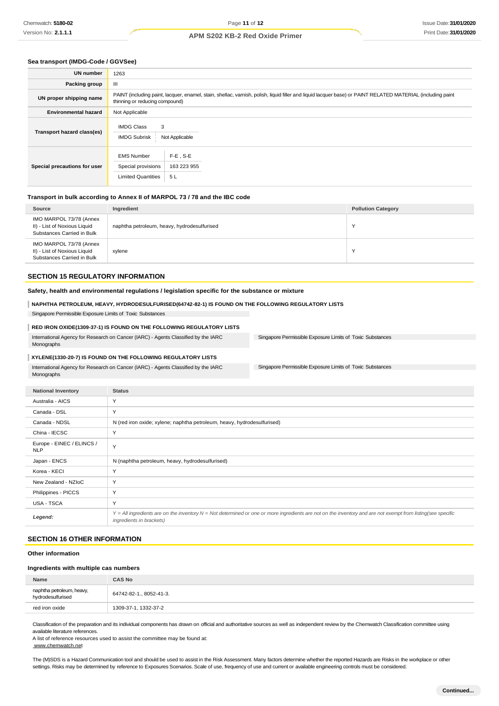#### **Sea transport (IMDG-Code / GGVSee)**

| <b>UN number</b>             | 1263                                                                                                                                                                                          |  |  |  |
|------------------------------|-----------------------------------------------------------------------------------------------------------------------------------------------------------------------------------------------|--|--|--|
| Packing group                | Ш                                                                                                                                                                                             |  |  |  |
| UN proper shipping name      | PAINT (including paint, lacquer, enamel, stain, shellac, varnish, polish, liquid filler and liquid lacquer base) or PAINT RELATED MATERIAL (including paint<br>thinning or reducing compound) |  |  |  |
| <b>Environmental hazard</b>  | Not Applicable                                                                                                                                                                                |  |  |  |
| Transport hazard class(es)   | <b>IMDG Class</b><br>3<br><b>IMDG Subrisk</b><br>Not Applicable                                                                                                                               |  |  |  |
| Special precautions for user | <b>EMS Number</b><br>$F-E$ . S-E<br>163 223 955<br>Special provisions<br><b>Limited Quantities</b><br>5 L                                                                                     |  |  |  |

## **Transport in bulk according to Annex II of MARPOL 73 / 78 and the IBC code**

| Source                                                                                | Ingredient                                  | <b>Pollution Category</b> |
|---------------------------------------------------------------------------------------|---------------------------------------------|---------------------------|
| IMO MARPOL 73/78 (Annex<br>II) - List of Noxious Liquid<br>Substances Carried in Bulk | naphtha petroleum, heavy, hydrodesulfurised |                           |
| IMO MARPOL 73/78 (Annex<br>II) - List of Noxious Liquid<br>Substances Carried in Bulk | xylene                                      | N                         |

## **SECTION 15 REGULATORY INFORMATION**

**Safety, health and environmental regulations / legislation specific for the substance or mixture**

## **NAPHTHA PETROLEUM, HEAVY, HYDRODESULFURISED(64742-82-1) IS FOUND ON THE FOLLOWING REGULATORY LISTS**

Singapore Permissible Exposure Limits of Toxic Substances

#### **RED IRON OXIDE(1309-37-1) IS FOUND ON THE FOLLOWING REGULATORY LISTS**

International Agency for Research on Cancer (IARC) - Agents Classified by the IARC Monographs

#### **XYLENE(1330-20-7) IS FOUND ON THE FOLLOWING REGULATORY LISTS**

International Agency for Research on Cancer (IARC) - Agents Classified by the IARC Monographs

Singapore Permissible Exposure Limits of Toxic Substances

Singapore Permissible Exposure Limits of Toxic Substances

| <b>National Inventory</b>               | <b>Status</b>                                                                                                                                                                            |
|-----------------------------------------|------------------------------------------------------------------------------------------------------------------------------------------------------------------------------------------|
| Australia - AICS                        | Υ                                                                                                                                                                                        |
| Canada - DSL                            | Y                                                                                                                                                                                        |
| Canada - NDSL                           | N (red iron oxide; xylene; naphtha petroleum, heavy, hydrodesulfurised)                                                                                                                  |
| China - IECSC                           | Υ                                                                                                                                                                                        |
| Europe - EINEC / ELINCS /<br><b>NLP</b> | Υ                                                                                                                                                                                        |
| Japan - ENCS                            | N (naphtha petroleum, heavy, hydrodesulfurised)                                                                                                                                          |
| Korea - KECI                            | Y                                                                                                                                                                                        |
| New Zealand - NZIoC                     | Υ                                                                                                                                                                                        |
| Philippines - PICCS                     | Υ                                                                                                                                                                                        |
| USA - TSCA                              | Y                                                                                                                                                                                        |
| Legend:                                 | Y = All ingredients are on the inventory N = Not determined or one or more ingredients are not on the inventory and are not exempt from listing(see specific<br>ingredients in brackets) |

## **SECTION 16 OTHER INFORMATION**

#### **Other information**

#### **Ingredients with multiple cas numbers**

| Name                                           | <b>CAS No</b>           |
|------------------------------------------------|-------------------------|
| naphtha petroleum, heavy,<br>hydrodesulfurised | 64742-82-1., 8052-41-3. |
| red iron oxide                                 | 1309-37-1, 1332-37-2    |

Classification of the preparation and its individual components has drawn on official and authoritative sources as well as independent review by the Chemwatch Classification committee using available literature references.

A list of reference resources used to assist the committee may be found at: [www.chemwatch.net](http://www.chemwatch.net/)

The (M)SDS is a Hazard Communication tool and should be used to assist in the Risk Assessment. Many factors determine whether the reported Hazards are Risks in the workplace or other settings. Risks may be determined by reference to Exposures Scenarios. Scale of use, frequency of use and current or available engineering controls must be considered.